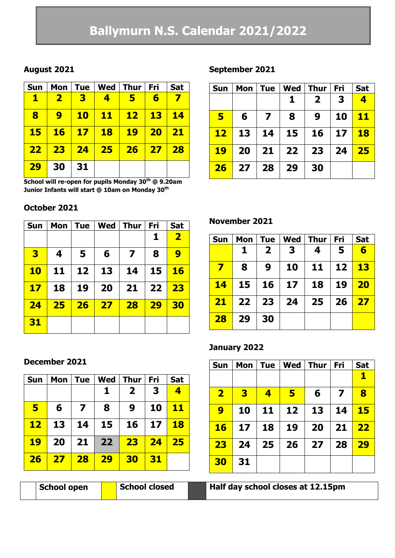# **Ballymurn N.S. Calendar 2021/2022**

# **August 2021**

| <b>Sun</b>      |                         |            |           | Mon   Tue   Wed   Thur | Fri       | Sat       |
|-----------------|-------------------------|------------|-----------|------------------------|-----------|-----------|
| $\mathbf T$     | $\overline{\mathbf{2}}$ | 3          | 4         | 5                      | 6         |           |
| 8               | $\boldsymbol{9}$        | <b>10</b>  | <u>11</u> | $\mathbf{12}$          | <b>13</b> | <b>14</b> |
| 15 <sub>2</sub> | <b>16</b>               | $\vert$ 17 | <b>18</b> | <b>19</b>              | <b>20</b> | 21        |
| 22 <sub>1</sub> | 23                      | 24         | 25        | 26 <sub>2</sub>        | 27        | 28        |
| <b>29</b>       | 30                      | 31         |           |                        |           |           |

**School will re-open for pupils Monday 30th @ 9.20am Junior Infants will start @ 10am on Monday 30th**

# **October 2021**

| <b>Sun</b>              | Mon | <b>Tue</b> | <b>Wed</b> | <b>Thur</b>             | Fri | <b>Sat</b>              |
|-------------------------|-----|------------|------------|-------------------------|-----|-------------------------|
|                         |     |            |            |                         | 1   | $\overline{\mathbf{2}}$ |
| $\overline{\mathbf{3}}$ | 4   | 5          | 6          | $\overline{\mathbf{z}}$ | 8   | 9                       |
| <b>10</b>               | 11  | 12         | 13         | 14                      | 15  | <b>16</b>               |
| 17                      | 18  | 19         | 20         | 21                      | 22  | 23                      |
| 24                      | 25  | <b>26</b>  | 27         | 28                      | 29  | 30                      |
| 31                      |     |            |            |                         |     |                         |

# **September 2021**

| <b>Sun</b> | Mon | <b>Tue</b> | <b>Wed</b> | <b>Thur</b>  | Fri | <b>Sat</b>              |
|------------|-----|------------|------------|--------------|-----|-------------------------|
|            |     |            | 1          | $\mathbf{2}$ | 3   | $\overline{\mathbf{4}}$ |
| 5          | 6   | 7          | 8          | 9            | 10  | <u> 11</u>              |
| <b>12</b>  | 13  | 14         | 15         | 16           | 17  | <b>18</b>               |
| <b>19</b>  | 20  | 21         | $22 \,$    | 23           | 24  | 25                      |
| 26         | 27  | 28         | 29         | 30           |     |                         |

# **November 2021**

| Sun | Mon             | <b>Tue</b>     | Wed   Thur      |           | Fri | <b>Sat</b> |
|-----|-----------------|----------------|-----------------|-----------|-----|------------|
|     | 1               | $\overline{2}$ | 3               | 4         | 5   | 6          |
| 7   | 8               | 9              | 10              | 11        | 12  | 13         |
| 14  | 15 <sub>1</sub> | 16             | 17 <sub>2</sub> | <b>18</b> | 19  | <b>20</b>  |
| 21  | 22 <sub>1</sub> | 23             | 24              | 25        | 26  | 27         |
| 28  | 29              | 30             |                 |           |     |            |

# **January 2022**

| <b>Sun</b>              | Mon | <b>Tue</b>              | Wed | <b>Thur</b> | Fri | <b>Sat</b> |
|-------------------------|-----|-------------------------|-----|-------------|-----|------------|
|                         |     |                         |     |             |     | 1          |
| $\overline{\mathbf{2}}$ | 3   | $\overline{\mathbf{4}}$ | 5   | 6           | 7   | 8          |
| 9                       | 10  | 11                      | 12  | 13          | 14  | 15         |
| <b>16</b>               | 17  | 18                      | 19  | 20          | 21  | 22         |
| 23                      | 24  | 25                      | 26  | 27          | 28  | 29         |
| 30                      | 31  |                         |     |             |     |            |

|  |  |  | Half day school closes at 12.15pm |
|--|--|--|-----------------------------------|
|--|--|--|-----------------------------------|

#### **December 2021**

| <b>Sun</b> | Mon | <b>Tue</b>              | Wed | <b>Thur</b>  | <b>Fri</b> | <b>Sat</b> |
|------------|-----|-------------------------|-----|--------------|------------|------------|
|            |     |                         | 1   | $\mathbf{2}$ | 3          | 4          |
| 5          | 6   | $\overline{\mathbf{z}}$ | 8   | 9            | 10         | <b>11</b>  |
| $12 \,$    | 13  | 14                      | 15  | 16           | 17         | <b>18</b>  |
| 19         | 20  | 21                      | 22  | 23           | 24         | 25         |
| 26         | 27  | 28                      | 29  | 30           | 31         |            |

**School open Balf School closed**